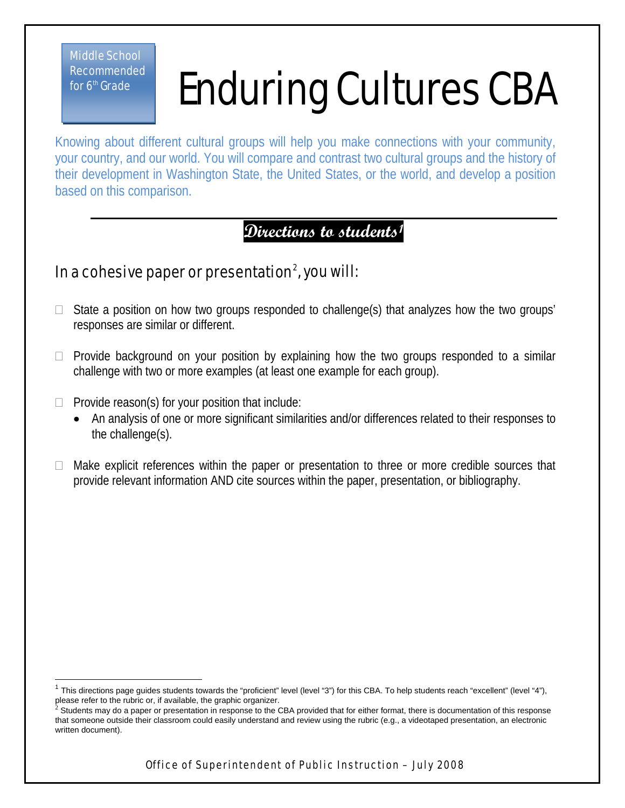Middle School Recommended for  $6<sup>th</sup>$  Grade

 $\overline{1}$ 

## Enduring Cultures CBA

Knowing about different cultural groups will help you make connections with your community, your country, and our world. You will compare and contrast two cultural groups and the history of their development in Washington State, the United States, or the world, and develop a position based on this comparison.

**Directions to students[1](#page-0-0)**

## In a cohesive paper or presentation $^2$  $^2$ , you will:

- $\Box$  State a position on how two groups responded to challenge(s) that analyzes how the two groups' responses are similar or different.
- $\Box$  Provide background on your position by explaining how the two groups responded to a similar challenge with two or more examples (at least one example for each group).
- $\Box$  Provide reason(s) for your position that include:
	- An analysis of one or more significant similarities and/or differences related to their responses to the challenge(s).
- Make explicit references within the paper or presentation to three or more credible sources that provide relevant information AND cite sources within the paper, presentation, or bibliography.

<span id="page-0-0"></span>This directions page guides students towards the "proficient" level (level "3") for this CBA. To help students reach "excellent" (level "4"), please refer to the rubric or, if available, the graphic organizer.

<span id="page-0-1"></span>Students may do a paper or presentation in response to the CBA provided that for either format, there is documentation of this response that someone outside their classroom could easily understand and review using the rubric (e.g., a videotaped presentation, an electronic written document).